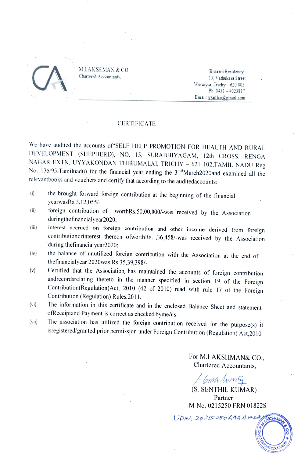

M.LAKSHMAN & CO.<br>Chartered Accountants,<br>Woraiyur, Trichy – 620 002<br>Ph: 0431 – 402388<br>Fmail: Englishmani Residency Chartered Accountants, 2001 and 2008 and 2008 and 2008 and 2008 and 2008 and 2008 and 2008 and 2008 and 2008 and 2008 and 2008 and 2008 and 2008 and 2008 and 2008 and 2008 and 2008 and 2008 and 2008 and 2008 and 2008 and 2 Woraiyur, Trichy-620 003. Ph: 0431-4023887 Email: trymlco@gmail.com

### CERTIFICATE

We have audited the accounts of"SELF HELP PROMOTION FOR HEALTH AND RURAL DEVELOPMENT (SHEPHERD), NO. 15, SURABHIYAGAM, 12th CROSS, RENGA NAGAR EXTN, UYYAKONDAN THIRUMALAI, TRICHY - 621 102, TAMIL NADU Reg No: 136/95.Tamilnadu) for the financial year ending the 31stMarch2020and examined all the relevantbooks and vouchers and certify that according to the auditedaccounts:

- the brought forward foreign contribution at the beginning of the financial  $(i)$ vearwasRs.3,12.055/-
- foreign contribution of worthRs.50,00,000/-was received by the Association (ii)
- duringthefinancialyear2020;<br>interest accrued on foreign contribution and other income derived from foreign contribution or interest thereon of worthRs. 1,36,458/-was received by the Association during thefinancialyear2020; ii)
- the balance of unutilized foreign contribution with the Association at the end of thefinancialyear 2020was Rs.35,39,398/- (iv)
- Certified that the Association, has maintained the accounts of foreign contribution andrecordsrelating thereto in the manner specified in section 19 of the Foreign Contribution(Regulation)Act, 2010 (42 of 2010) read with rule 17 of the Foreign Contribution (Regulation) Rules,2011. (v)
- (vi) The information in this certificate and in the enclosed Balance Sheet and statement ofReceiptand Payment is correct as checked byme/us.
- The association has utilized the foreign contribution received for the purpose(s) it isregistered/granted prior permission under Foreign Contribution (Regulation) Act,2010 (vi)

For M.LAKSHMAN& CO., Chartered Accountants,

onthAwm

(S. SENTHIL KUMAR) Partner M No. 0215250 FRN 01822S

 $UDIN, 20215250$  AAA A Hz2265H

**ACCOUN**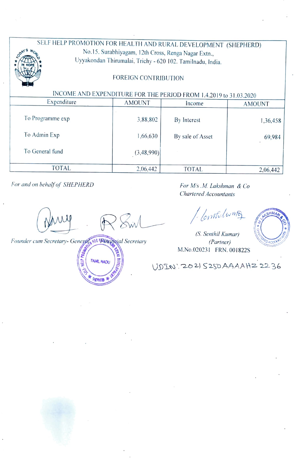## SELF HELP PROMOTION FOR HEALTH AND RURAL DEVELOPMENT (SHEPHERD)<br>No.15. Surabhiyagam, 12th Cross, Renga Nagar Extn.,  $\overbrace{X}^s$  Worlf No.15. Surabhiyagam, 12th Cross, Renga Nagar Extn.,<br>Uyyakondan Thirumalai, Trichy - 620 102. Tamilnadu, India \*IN HOPE MILLE

## FOREIGN CONTRIBUTION

# INCOME AND EXPENDITURE FOR THE PERIOD FROM 1.4.2019 to 31.03.2020

| Expenditure      | <b>AMOUNT</b> | Income           | <b>AMOUNT</b> |  |
|------------------|---------------|------------------|---------------|--|
| To Programme exp | 3,88,802      | By Interest      | 1,36,458      |  |
| To Admin Exp     | 1,66,630      | By sale of Asset | 69,984        |  |
| To General fund  | (3,48,990)    |                  |               |  |
| <b>TOTAL</b>     | 2,06,442      | <b>TOTAL</b>     | 2,06,442      |  |

For and on behalf of SHEPHERD For M/s.M. Lakshman & Co

Chartered Accountants

/ Contribunto



(S. Senthil Kumar) M.No.020231 FRN. 001822S

VDTN. 202) S2SD AAAAHZ 2236

Swl

Founder cum Secretary- General OR Windigh Secretary (Partner) TAMRL NADU SHETELET